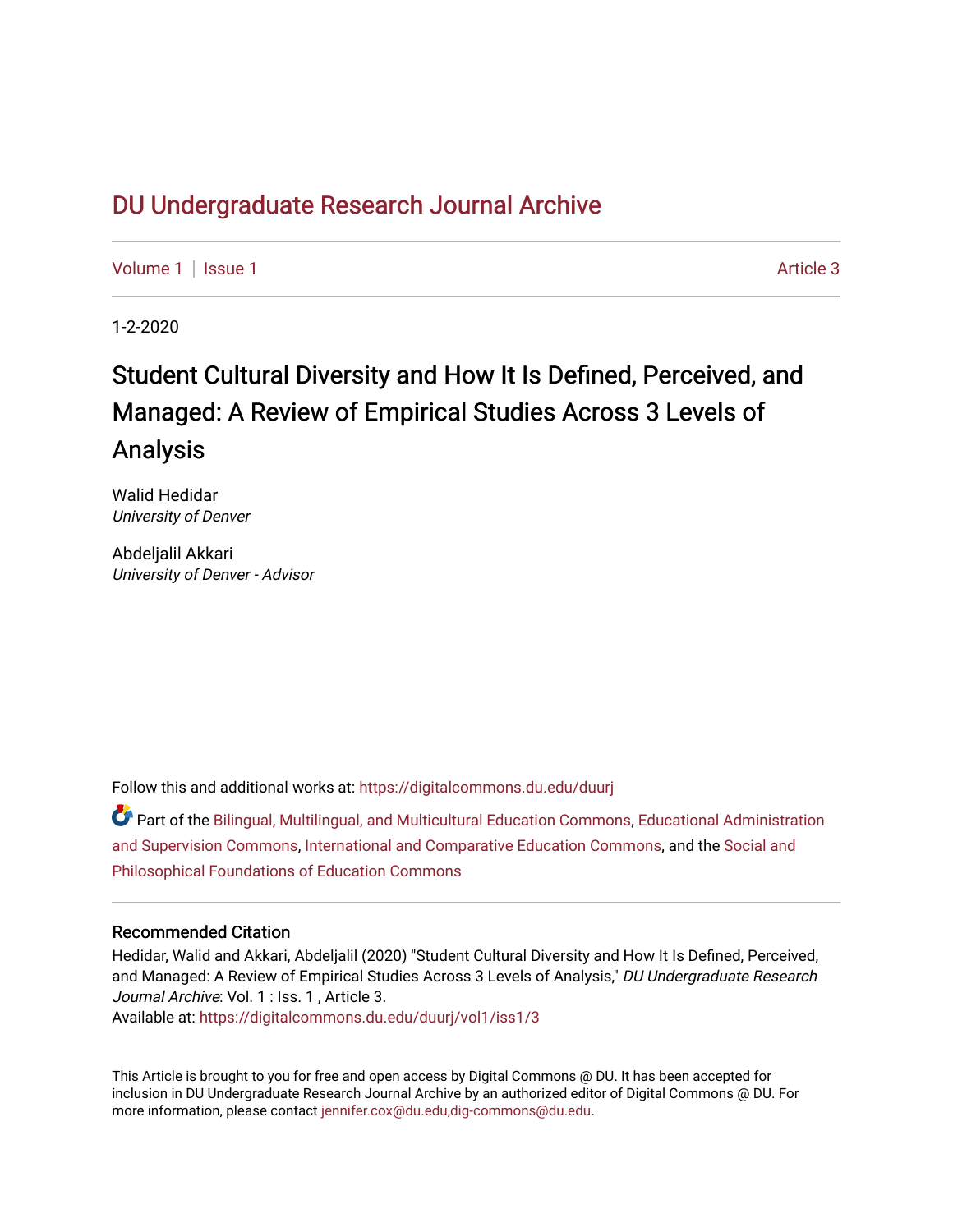# DU Undergr[aduate Research Journal Ar](https://digitalcommons.du.edu/duurj)chive

[Volume 1](https://digitalcommons.du.edu/duurj/vol1) | [Issue 1](https://digitalcommons.du.edu/duurj/vol1/iss1) Article 3

1-2-2020

# Student Cultural Diversity and How It Is Defined, Perceived, and Managed: A Review of Empirical Studies Across 3 Levels of Analysis

Walid Hedidar University of Denver

Abdeljalil Akkari University of Denver - Advisor

Follow this and additional works at: [https://digitalcommons.du.edu/duurj](https://digitalcommons.du.edu/duurj?utm_source=digitalcommons.du.edu%2Fduurj%2Fvol1%2Fiss1%2F3&utm_medium=PDF&utm_campaign=PDFCoverPages) 

Part of the [Bilingual, Multilingual, and Multicultural Education Commons,](http://network.bepress.com/hgg/discipline/785?utm_source=digitalcommons.du.edu%2Fduurj%2Fvol1%2Fiss1%2F3&utm_medium=PDF&utm_campaign=PDFCoverPages) [Educational Administration](http://network.bepress.com/hgg/discipline/787?utm_source=digitalcommons.du.edu%2Fduurj%2Fvol1%2Fiss1%2F3&utm_medium=PDF&utm_campaign=PDFCoverPages) [and Supervision Commons,](http://network.bepress.com/hgg/discipline/787?utm_source=digitalcommons.du.edu%2Fduurj%2Fvol1%2Fiss1%2F3&utm_medium=PDF&utm_campaign=PDFCoverPages) [International and Comparative Education Commons](http://network.bepress.com/hgg/discipline/797?utm_source=digitalcommons.du.edu%2Fduurj%2Fvol1%2Fiss1%2F3&utm_medium=PDF&utm_campaign=PDFCoverPages), and the [Social and](http://network.bepress.com/hgg/discipline/799?utm_source=digitalcommons.du.edu%2Fduurj%2Fvol1%2Fiss1%2F3&utm_medium=PDF&utm_campaign=PDFCoverPages)  [Philosophical Foundations of Education Commons](http://network.bepress.com/hgg/discipline/799?utm_source=digitalcommons.du.edu%2Fduurj%2Fvol1%2Fiss1%2F3&utm_medium=PDF&utm_campaign=PDFCoverPages) 

# Recommended Citation

Hedidar, Walid and Akkari, Abdeljalil (2020) "Student Cultural Diversity and How It Is Defined, Perceived, and Managed: A Review of Empirical Studies Across 3 Levels of Analysis," DU Undergraduate Research Journal Archive: Vol. 1 : Iss. 1 , Article 3.

Available at: [https://digitalcommons.du.edu/duurj/vol1/iss1/3](https://digitalcommons.du.edu/duurj/vol1/iss1/3?utm_source=digitalcommons.du.edu%2Fduurj%2Fvol1%2Fiss1%2F3&utm_medium=PDF&utm_campaign=PDFCoverPages) 

This Article is brought to you for free and open access by Digital Commons @ DU. It has been accepted for inclusion in DU Undergraduate Research Journal Archive by an authorized editor of Digital Commons @ DU. For more information, please contact [jennifer.cox@du.edu,dig-commons@du.edu.](mailto:jennifer.cox@du.edu,dig-commons@du.edu)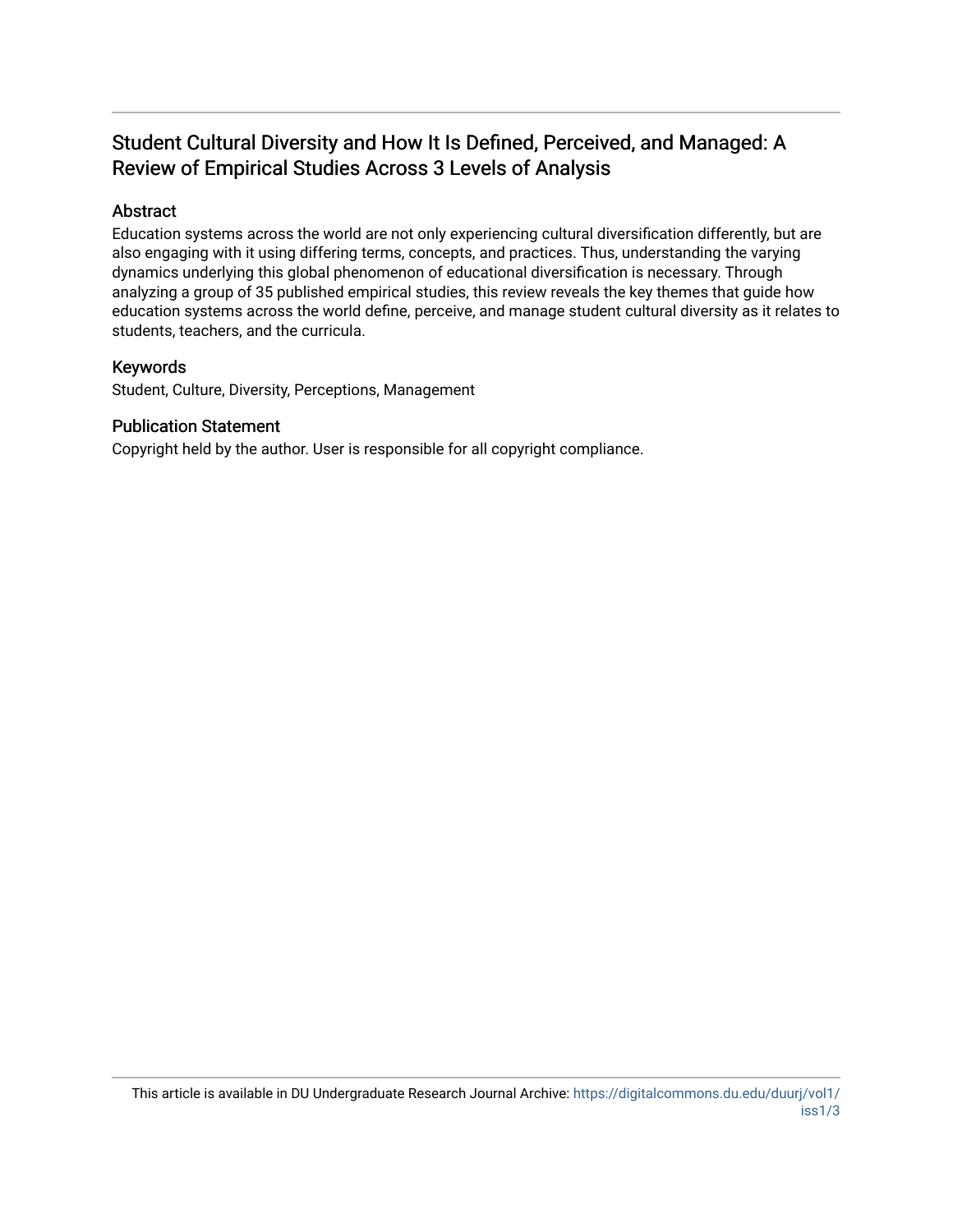# Student Cultural Diversity and How It Is Defined, Perceived, and Managed: A Review of Empirical Studies Across 3 Levels of Analysis

# Abstract

Education systems across the world are not only experiencing cultural diversification differently, but are also engaging with it using differing terms, concepts, and practices. Thus, understanding the varying dynamics underlying this global phenomenon of educational diversification is necessary. Through analyzing a group of 35 published empirical studies, this review reveals the key themes that guide how education systems across the world define, perceive, and manage student cultural diversity as it relates to students, teachers, and the curricula.

# Keywords

Student, Culture, Diversity, Perceptions, Management

# Publication Statement

Copyright held by the author. User is responsible for all copyright compliance.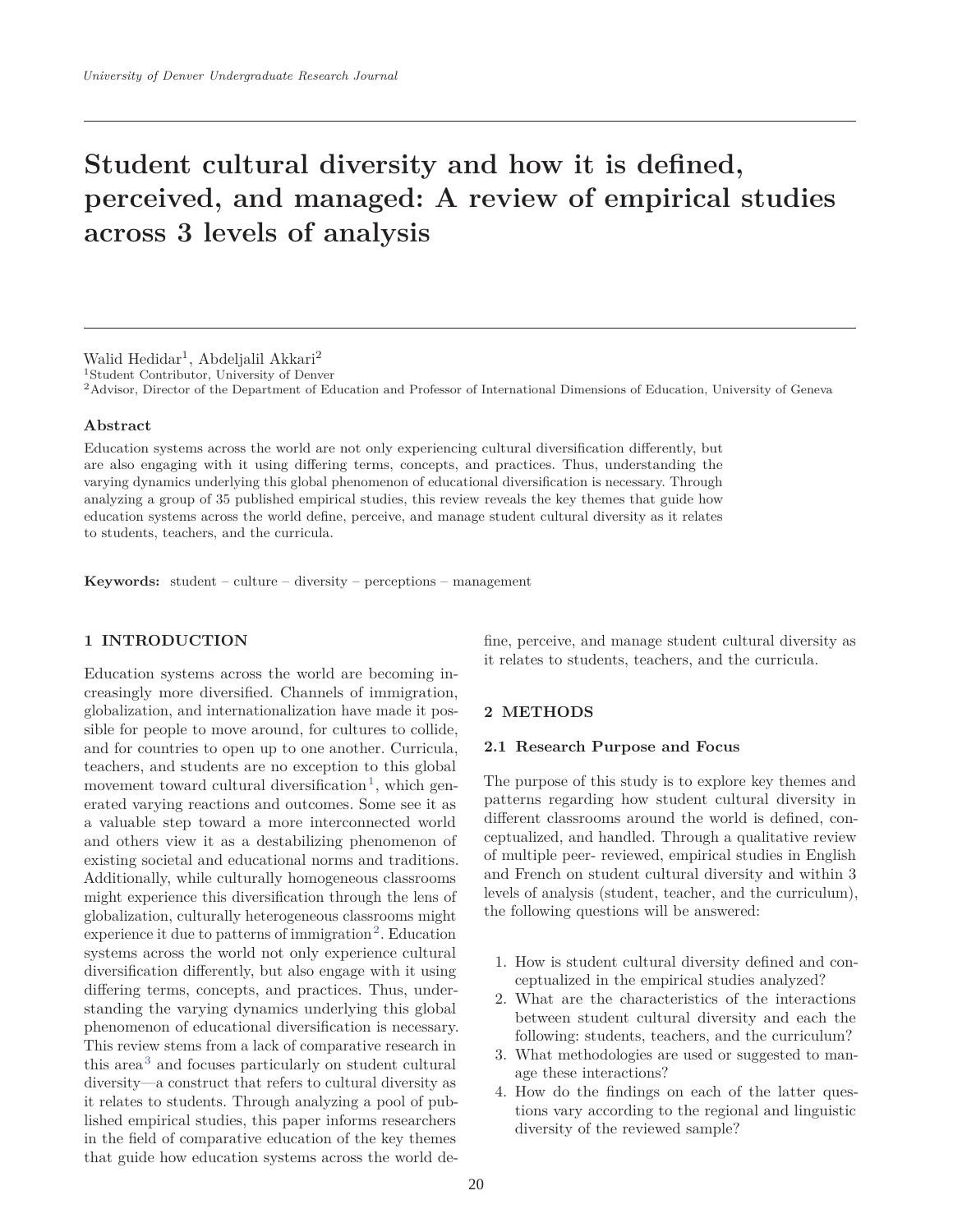# **Student cultural diversity and how it is defined, perceived, and managed: A review of empirical studies across 3 levels of analysis**

#### Walid Hedidar<sup>1</sup>, Abdeljalil Akkari<sup>2</sup>

1Student Contributor, University of Denver

2Advisor, Director of the Department of Education and Professor of International Dimensions of Education, University of Geneva

#### **Abstract**

Education systems across the world are not only experiencing cultural diversification differently, but are also engaging with it using differing terms, concepts, and practices. Thus, understanding the varying dynamics underlying this global phenomenon of educational diversification is necessary. Through analyzing a group of 35 published empirical studies, this review reveals the key themes that guide how education systems across the world define, perceive, and manage student cultural diversity as it relates to students, teachers, and the curricula.

**Keywords:** student – culture – diversity – perceptions – management

# **1 INTRODUCTION**

Education systems across the world are becoming increasingly more diversified. Channels of immigration, globalization, and internationalization have made it possible for people to move around, for cultures to collide, and for countries to open up to one another. Curricula, teachers, and students are no exception to this global movement toward cultural diversification<sup>1</sup>, which generated varying reactions and outcomes. Some see it as a valuable step toward a more interconnected world and others view it as a destabilizing phenomenon of existing societal and educational norms and traditions. Additionally, while culturally homogeneous classrooms might experience this diversification through the lens of globalization, culturally heterogeneous classrooms might experience it due to patterns of immigration<sup>2</sup>. Education systems across the world not only experience cultural diversification differently, but also engage with it using differing terms, concepts, and practices. Thus, understanding the varying dynamics underlying this global phenomenon of educational diversification is necessary. This review stems from a lack of comparative research in this area<sup>3</sup> and focuses particularly on student cultural diversity—a construct that refers to cultural diversity as it relates to students. Through analyzing a pool of published empirical studies, this paper informs researchers in the field of comparative education of the key themes that guide how education systems across the world de-

fine, perceive, and manage student cultural diversity as it relates to students, teachers, and the curricula.

## **2 METHODS**

#### **2.1 Research Purpose and Focus**

The purpose of this study is to explore key themes and patterns regarding how student cultural diversity in different classrooms around the world is defined, conceptualized, and handled. Through a qualitative review of multiple peer- reviewed, empirical studies in English and French on student cultural diversity and within 3 levels of analysis (student, teacher, and the curriculum), the following questions will be answered:

- 1. How is student cultural diversity defined and conceptualized in the empirical studies analyzed?
- 2. What are the characteristics of the interactions between student cultural diversity and each the following: students, teachers, and the curriculum?
- 3. What methodologies are used or suggested to manage these interactions?
- 4. How do the findings on each of the latter questions vary according to the regional and linguistic diversity of the reviewed sample?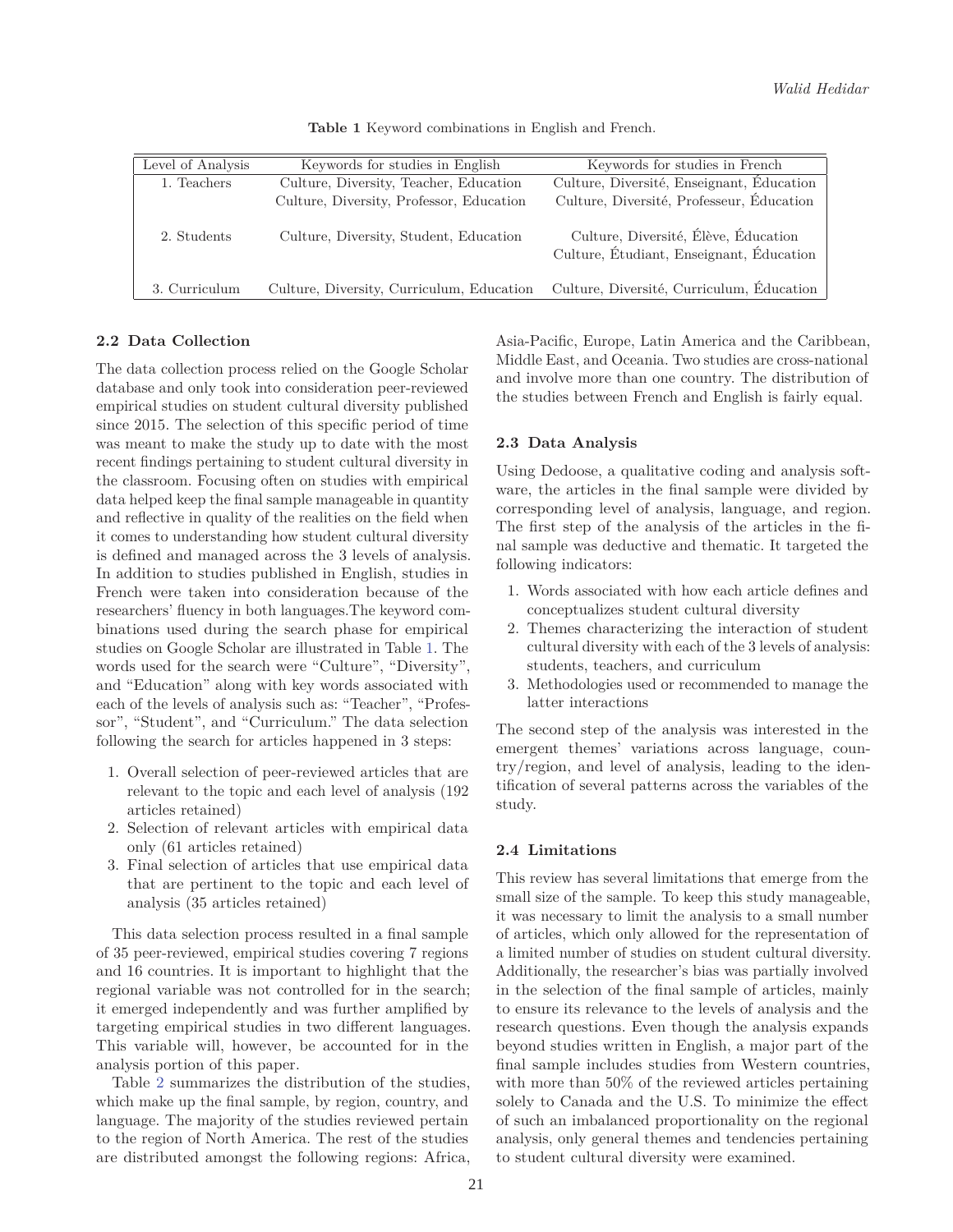| Level of Analysis | Keywords for studies in English           | Keywords for studies in French                                                   |
|-------------------|-------------------------------------------|----------------------------------------------------------------------------------|
| 1. Teachers       | Culture, Diversity, Teacher, Education    | Culture, Diversité, Enseignant, Education                                        |
|                   | Culture, Diversity, Professor, Education  | Culture, Diversité, Professeur, Éducation                                        |
| 2. Students       | Culture, Diversity, Student, Education    | Culture, Diversité, Élève, Éducation<br>Culture, Étudiant, Enseignant, Éducation |
| 3. Curriculum     | Culture, Diversity, Curriculum, Education | Culture, Diversité, Curriculum, Éducation                                        |

**Table 1** Keyword combinations in English and French.

# **2.2 Data Collection**

The data collection process relied on the Google Scholar database and only took into consideration peer-reviewed empirical studies on student cultural diversity published since 2015. The selection of this specific period of time was meant to make the study up to date with the most recent findings pertaining to student cultural diversity in the classroom. Focusing often on studies with empirical data helped keep the final sample manageable in quantity and reflective in quality of the realities on the field when it comes to understanding how student cultural diversity is defined and managed across the 3 levels of analysis. In addition to studies published in English, studies in French were taken into consideration because of the researchers' fluency in both languages.The keyword combinations used during the search phase for empirical studies on Google Scholar are illustrated in Table 1. The words used for the search were "Culture", "Diversity", and "Education" along with key words associated with each of the levels of analysis such as: "Teacher", "Professor", "Student", and "Curriculum." The data selection following the search for articles happened in 3 steps:

- 1. Overall selection of peer-reviewed articles that are relevant to the topic and each level of analysis (192 articles retained)
- 2. Selection of relevant articles with empirical data only (61 articles retained)
- 3. Final selection of articles that use empirical data that are pertinent to the topic and each level of analysis (35 articles retained)

This data selection process resulted in a final sample of 35 peer-reviewed, empirical studies covering 7 regions and 16 countries. It is important to highlight that the regional variable was not controlled for in the search; it emerged independently and was further amplified by targeting empirical studies in two different languages. This variable will, however, be accounted for in the analysis portion of this paper.

Table 2 summarizes the distribution of the studies, which make up the final sample, by region, country, and language. The majority of the studies reviewed pertain to the region of North America. The rest of the studies are distributed amongst the following regions: Africa, Asia-Pacific, Europe, Latin America and the Caribbean, Middle East, and Oceania. Two studies are cross-national and involve more than one country. The distribution of the studies between French and English is fairly equal.

# **2.3 Data Analysis**

Using Dedoose, a qualitative coding and analysis software, the articles in the final sample were divided by corresponding level of analysis, language, and region. The first step of the analysis of the articles in the final sample was deductive and thematic. It targeted the following indicators:

- 1. Words associated with how each article defines and conceptualizes student cultural diversity
- 2. Themes characterizing the interaction of student cultural diversity with each of the 3 levels of analysis: students, teachers, and curriculum
- 3. Methodologies used or recommended to manage the latter interactions

The second step of the analysis was interested in the emergent themes' variations across language, country/region, and level of analysis, leading to the identification of several patterns across the variables of the study.

# **2.4 Limitations**

This review has several limitations that emerge from the small size of the sample. To keep this study manageable, it was necessary to limit the analysis to a small number of articles, which only allowed for the representation of a limited number of studies on student cultural diversity. Additionally, the researcher's bias was partially involved in the selection of the final sample of articles, mainly to ensure its relevance to the levels of analysis and the research questions. Even though the analysis expands beyond studies written in English, a major part of the final sample includes studies from Western countries, with more than 50% of the reviewed articles pertaining solely to Canada and the U.S. To minimize the effect of such an imbalanced proportionality on the regional analysis, only general themes and tendencies pertaining to student cultural diversity were examined.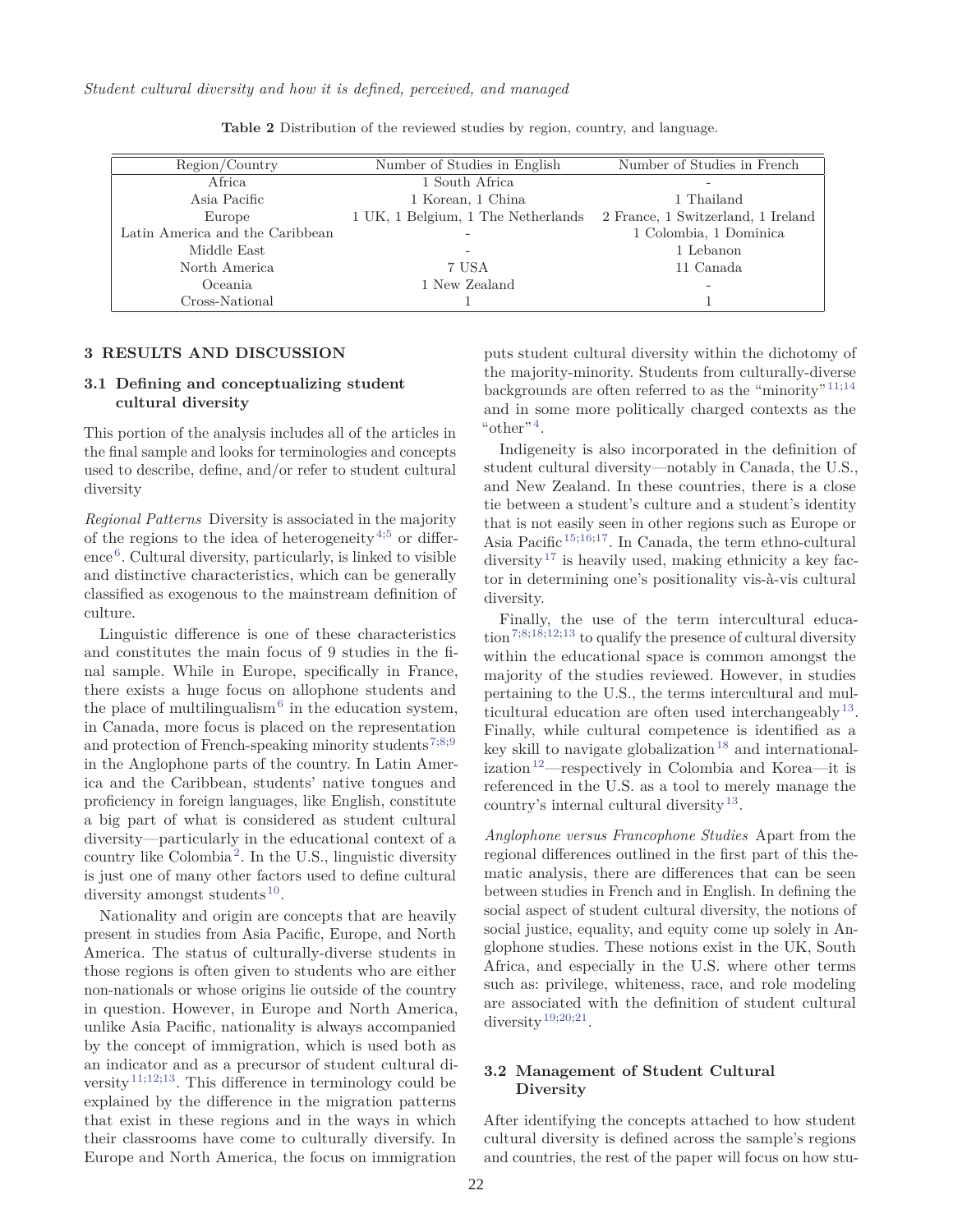*Student cultural diversity and how it is defined, perceived, and managed*

| Region/Country                  | Number of Studies in English       | Number of Studies in French        |
|---------------------------------|------------------------------------|------------------------------------|
| Africa                          | 1 South Africa                     |                                    |
| Asia Pacific                    | 1 Korean, 1 China                  | 1 Thailand                         |
| Europe                          | 1 UK, 1 Belgium, 1 The Netherlands | 2 France, 1 Switzerland, 1 Ireland |
| Latin America and the Caribbean | -                                  | 1 Colombia, 1 Dominica             |
| Middle East                     |                                    | 1 Lebanon                          |
| North America                   | 7 USA                              | 11 Canada                          |
| Oceania                         | 1 New Zealand                      |                                    |
| Cross-National                  |                                    |                                    |

**Table 2** Distribution of the reviewed studies by region, country, and language.

#### **3 RESULTS AND DISCUSSION**

### **3.1 Defining and conceptualizing student cultural diversity**

This portion of the analysis includes all of the articles in the final sample and looks for terminologies and concepts used to describe, define, and/or refer to student cultural diversity

*Regional Patterns* Diversity is associated in the majority of the regions to the idea of heterogeneity<sup>4;5</sup> or difference <sup>6</sup>. Cultural diversity, particularly, is linked to visible and distinctive characteristics, which can be generally classified as exogenous to the mainstream definition of culture.

Linguistic difference is one of these characteristics and constitutes the main focus of 9 studies in the final sample. While in Europe, specifically in France, there exists a huge focus on allophone students and the place of multilingualism<sup> $6$ </sup> in the education system, in Canada, more focus is placed on the representation and protection of French-speaking minority students<sup>7;8;9</sup> in the Anglophone parts of the country. In Latin America and the Caribbean, students' native tongues and proficiency in foreign languages, like English, constitute a big part of what is considered as student cultural diversity—particularly in the educational context of a country like Colombia<sup>2</sup>. In the U.S., linguistic diversity is just one of many other factors used to define cultural diversity amongst students<sup>10</sup>.

Nationality and origin are concepts that are heavily present in studies from Asia Pacific, Europe, and North America. The status of culturally-diverse students in those regions is often given to students who are either non-nationals or whose origins lie outside of the country in question. However, in Europe and North America, unlike Asia Pacific, nationality is always accompanied by the concept of immigration, which is used both as an indicator and as a precursor of student cultural diversity  $(11,12,13)$ . This difference in terminology could be explained by the difference in the migration patterns that exist in these regions and in the ways in which their classrooms have come to culturally diversify. In Europe and North America, the focus on immigration

puts student cultural diversity within the dichotomy of the majority-minority. Students from culturally-diverse backgrounds are often referred to as the "minority"<sup>11;14</sup> and in some more politically charged contexts as the " $other$ "<sup>4</sup>.

Indigeneity is also incorporated in the definition of student cultural diversity—notably in Canada, the U.S., and New Zealand. In these countries, there is a close tie between a student's culture and a student's identity that is not easily seen in other regions such as Europe or Asia Pacific 15;16;17. In Canada, the term ethno-cultural diversity<sup>17</sup> is heavily used, making ethnicity a key factor in determining one's positionality vis-à-vis cultural diversity.

Finally, the use of the term intercultural education 7;8;18;12;13 to qualify the presence of cultural diversity within the educational space is common amongst the majority of the studies reviewed. However, in studies pertaining to the U.S., the terms intercultural and multicultural education are often used interchangeably  $13$ . Finally, while cultural competence is identified as a key skill to navigate globalization<sup>18</sup> and internationalization<sup>12</sup>—respectively in Colombia and Korea—it is referenced in the U.S. as a tool to merely manage the country's internal cultural diversity<sup>13</sup>.

*Anglophone versus Francophone Studies* Apart from the regional differences outlined in the first part of this thematic analysis, there are differences that can be seen between studies in French and in English. In defining the social aspect of student cultural diversity, the notions of social justice, equality, and equity come up solely in Anglophone studies. These notions exist in the UK, South Africa, and especially in the U.S. where other terms such as: privilege, whiteness, race, and role modeling are associated with the definition of student cultural diversity<sup>19;20;21</sup>.

## **3.2 Management of Student Cultural Diversity**

After identifying the concepts attached to how student cultural diversity is defined across the sample's regions and countries, the rest of the paper will focus on how stu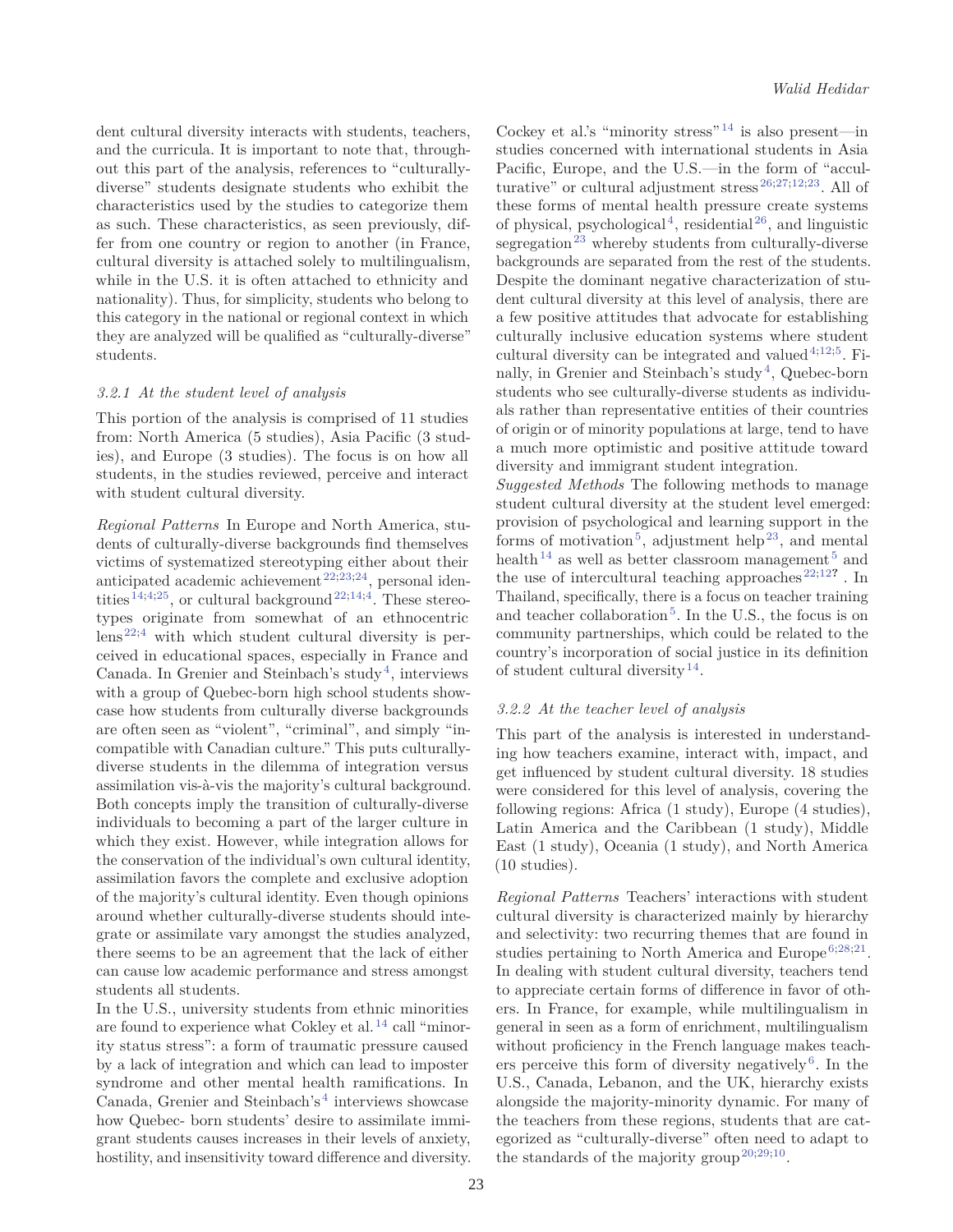dent cultural diversity interacts with students, teachers, and the curricula. It is important to note that, throughout this part of the analysis, references to "culturallydiverse" students designate students who exhibit the characteristics used by the studies to categorize them as such. These characteristics, as seen previously, differ from one country or region to another (in France, cultural diversity is attached solely to multilingualism, while in the U.S. it is often attached to ethnicity and nationality). Thus, for simplicity, students who belong to this category in the national or regional context in which they are analyzed will be qualified as "culturally-diverse" students.

### *3.2.1 At the student level of analysis*

This portion of the analysis is comprised of 11 studies from: North America (5 studies), Asia Pacific (3 studies), and Europe (3 studies). The focus is on how all students, in the studies reviewed, perceive and interact with student cultural diversity.

*Regional Patterns* In Europe and North America, students of culturally-diverse backgrounds find themselves victims of systematized stereotyping either about their anticipated academic achievement  $22;23;24$ , personal identities  $14;4;25$ , or cultural background  $22;14;4$ . These stereotypes originate from somewhat of an ethnocentric  $lens^{22;4}$  with which student cultural diversity is perceived in educational spaces, especially in France and Canada. In Grenier and Steinbach's study<sup>4</sup>, interviews with a group of Quebec-born high school students showcase how students from culturally diverse backgrounds are often seen as "violent", "criminal", and simply "incompatible with Canadian culture." This puts culturallydiverse students in the dilemma of integration versus assimilation vis-à-vis the majority's cultural background. Both concepts imply the transition of culturally-diverse individuals to becoming a part of the larger culture in which they exist. However, while integration allows for the conservation of the individual's own cultural identity, assimilation favors the complete and exclusive adoption of the majority's cultural identity. Even though opinions around whether culturally-diverse students should integrate or assimilate vary amongst the studies analyzed, there seems to be an agreement that the lack of either can cause low academic performance and stress amongst students all students.

In the U.S., university students from ethnic minorities are found to experience what Cokley et al.<sup>14</sup> call "minority status stress": a form of traumatic pressure caused by a lack of integration and which can lead to imposter syndrome and other mental health ramifications. In Canada, Grenier and Steinbach's<sup>4</sup> interviews showcase how Quebec- born students' desire to assimilate immigrant students causes increases in their levels of anxiety, hostility, and insensitivity toward difference and diversity. Cockey et al.'s "minority stress"  $14$  is also present—in studies concerned with international students in Asia Pacific, Europe, and the U.S.—in the form of "acculturative" or cultural adjustment stress<sup>26;27;12;23</sup>. All of these forms of mental health pressure create systems of physical, psychological<sup>4</sup>, residential<sup>26</sup>, and linguistic segregation  $23$  whereby students from culturally-diverse backgrounds are separated from the rest of the students. Despite the dominant negative characterization of student cultural diversity at this level of analysis, there are a few positive attitudes that advocate for establishing culturally inclusive education systems where student cultural diversity can be integrated and valued  $4,12,5$ . Finally, in Grenier and Steinbach's study<sup>4</sup>, Quebec-born students who see culturally-diverse students as individuals rather than representative entities of their countries of origin or of minority populations at large, tend to have a much more optimistic and positive attitude toward diversity and immigrant student integration.

*Suggested Methods* The following methods to manage student cultural diversity at the student level emerged: provision of psychological and learning support in the forms of motivation<sup>5</sup>, adjustment help<sup>23</sup>, and mental health<sup>14</sup> as well as better classroom management  $5$  and the use of intercultural teaching approaches<sup>22;12?</sup> . In Thailand, specifically, there is a focus on teacher training and teacher collaboration<sup>5</sup>. In the U.S., the focus is on community partnerships, which could be related to the country's incorporation of social justice in its definition of student cultural diversity<sup>14</sup>.

### *3.2.2 At the teacher level of analysis*

This part of the analysis is interested in understanding how teachers examine, interact with, impact, and get influenced by student cultural diversity. 18 studies were considered for this level of analysis, covering the following regions: Africa (1 study), Europe (4 studies), Latin America and the Caribbean (1 study), Middle East (1 study), Oceania (1 study), and North America (10 studies).

*Regional Patterns* Teachers' interactions with student cultural diversity is characterized mainly by hierarchy and selectivity: two recurring themes that are found in studies pertaining to North America and Europe<sup>6,28,21</sup>. In dealing with student cultural diversity, teachers tend to appreciate certain forms of difference in favor of others. In France, for example, while multilingualism in general in seen as a form of enrichment, multilingualism without proficiency in the French language makes teachers perceive this form of diversity negatively<sup>6</sup>. In the U.S., Canada, Lebanon, and the UK, hierarchy exists alongside the majority-minority dynamic. For many of the teachers from these regions, students that are categorized as "culturally-diverse" often need to adapt to the standards of the majority group<sup>20,29,10</sup>.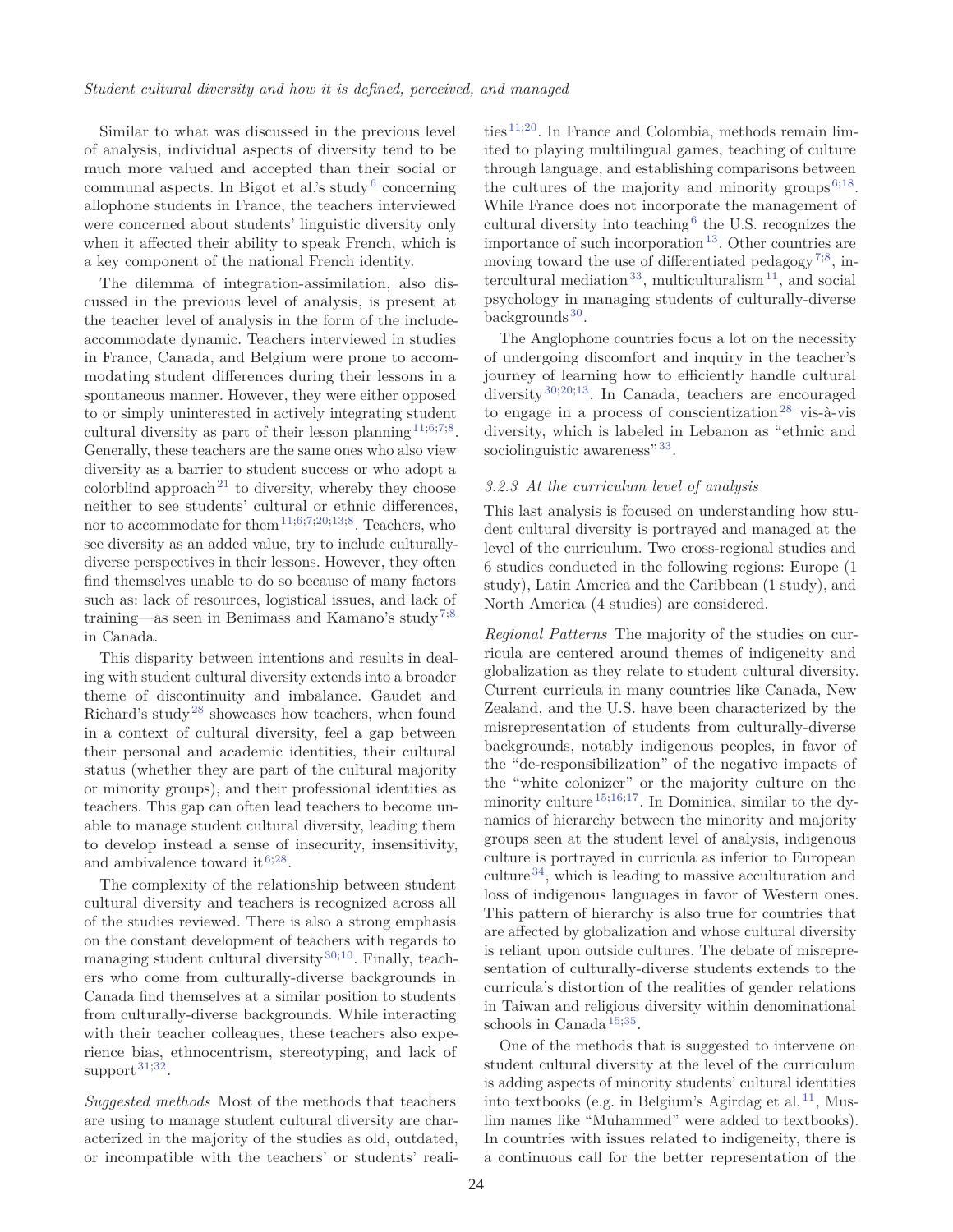Similar to what was discussed in the previous level of analysis, individual aspects of diversity tend to be much more valued and accepted than their social or communal aspects. In Bigot et al.'s study<sup>6</sup> concerning allophone students in France, the teachers interviewed were concerned about students' linguistic diversity only when it affected their ability to speak French, which is a key component of the national French identity.

The dilemma of integration-assimilation, also discussed in the previous level of analysis, is present at the teacher level of analysis in the form of the includeaccommodate dynamic. Teachers interviewed in studies in France, Canada, and Belgium were prone to accommodating student differences during their lessons in a spontaneous manner. However, they were either opposed to or simply uninterested in actively integrating student cultural diversity as part of their lesson planning  $11;6;7;8$ . Generally, these teachers are the same ones who also view diversity as a barrier to student success or who adopt a colorblind approach<sup>21</sup> to diversity, whereby they choose neither to see students' cultural or ethnic differences, nor to accommodate for them<sup>11;6;7;20;13;8</sup>. Teachers, who see diversity as an added value, try to include culturallydiverse perspectives in their lessons. However, they often find themselves unable to do so because of many factors such as: lack of resources, logistical issues, and lack of training—as seen in Benimass and Kamano's study<sup>7;8</sup> in Canada.

This disparity between intentions and results in dealing with student cultural diversity extends into a broader theme of discontinuity and imbalance. Gaudet and Richard's study<sup>28</sup> showcases how teachers, when found in a context of cultural diversity, feel a gap between their personal and academic identities, their cultural status (whether they are part of the cultural majority or minority groups), and their professional identities as teachers. This gap can often lead teachers to become unable to manage student cultural diversity, leading them to develop instead a sense of insecurity, insensitivity, and ambivalence toward it  $6;28$ .

The complexity of the relationship between student cultural diversity and teachers is recognized across all of the studies reviewed. There is also a strong emphasis on the constant development of teachers with regards to managing student cultural diversity<sup>30;10</sup>. Finally, teachers who come from culturally-diverse backgrounds in Canada find themselves at a similar position to students from culturally-diverse backgrounds. While interacting with their teacher colleagues, these teachers also experience bias, ethnocentrism, stereotyping, and lack of support  $31,32$ .

*Suggested methods* Most of the methods that teachers are using to manage student cultural diversity are characterized in the majority of the studies as old, outdated, or incompatible with the teachers' or students' reali-

ties 11;20. In France and Colombia, methods remain limited to playing multilingual games, teaching of culture through language, and establishing comparisons between the cultures of the majority and minority groups $6;18$ . While France does not incorporate the management of cultural diversity into teaching  $6$  the U.S. recognizes the importance of such incorporation<sup>13</sup>. Other countries are moving toward the use of differentiated pedagogy<sup>7;8</sup>, intercultural mediation<sup>33</sup>, multiculturalism<sup>11</sup>, and social psychology in managing students of culturally-diverse backgrounds $30$ .

The Anglophone countries focus a lot on the necessity of undergoing discomfort and inquiry in the teacher's journey of learning how to efficiently handle cultural diversity<sup>30;20;13</sup>. In Canada, teachers are encouraged to engage in a process of conscientization<sup>28</sup> vis-à-vis diversity, which is labeled in Lebanon as "ethnic and sociolinguistic awareness" 33.

### *3.2.3 At the curriculum level of analysis*

This last analysis is focused on understanding how student cultural diversity is portrayed and managed at the level of the curriculum. Two cross-regional studies and 6 studies conducted in the following regions: Europe (1 study), Latin America and the Caribbean (1 study), and North America (4 studies) are considered.

*Regional Patterns* The majority of the studies on curricula are centered around themes of indigeneity and globalization as they relate to student cultural diversity. Current curricula in many countries like Canada, New Zealand, and the U.S. have been characterized by the misrepresentation of students from culturally-diverse backgrounds, notably indigenous peoples, in favor of the "de-responsibilization" of the negative impacts of the "white colonizer" or the majority culture on the minority culture<sup>15;16;17</sup>. In Dominica, similar to the dynamics of hierarchy between the minority and majority groups seen at the student level of analysis, indigenous culture is portrayed in curricula as inferior to European culture <sup>34</sup>, which is leading to massive acculturation and loss of indigenous languages in favor of Western ones. This pattern of hierarchy is also true for countries that are affected by globalization and whose cultural diversity is reliant upon outside cultures. The debate of misrepresentation of culturally-diverse students extends to the curricula's distortion of the realities of gender relations in Taiwan and religious diversity within denominational schools in Canada<sup>15,35</sup>.

One of the methods that is suggested to intervene on student cultural diversity at the level of the curriculum is adding aspects of minority students' cultural identities into textbooks (e.g. in Belgium's Agirdag et al.<sup>11</sup>, Muslim names like "Muhammed" were added to textbooks). In countries with issues related to indigeneity, there is a continuous call for the better representation of the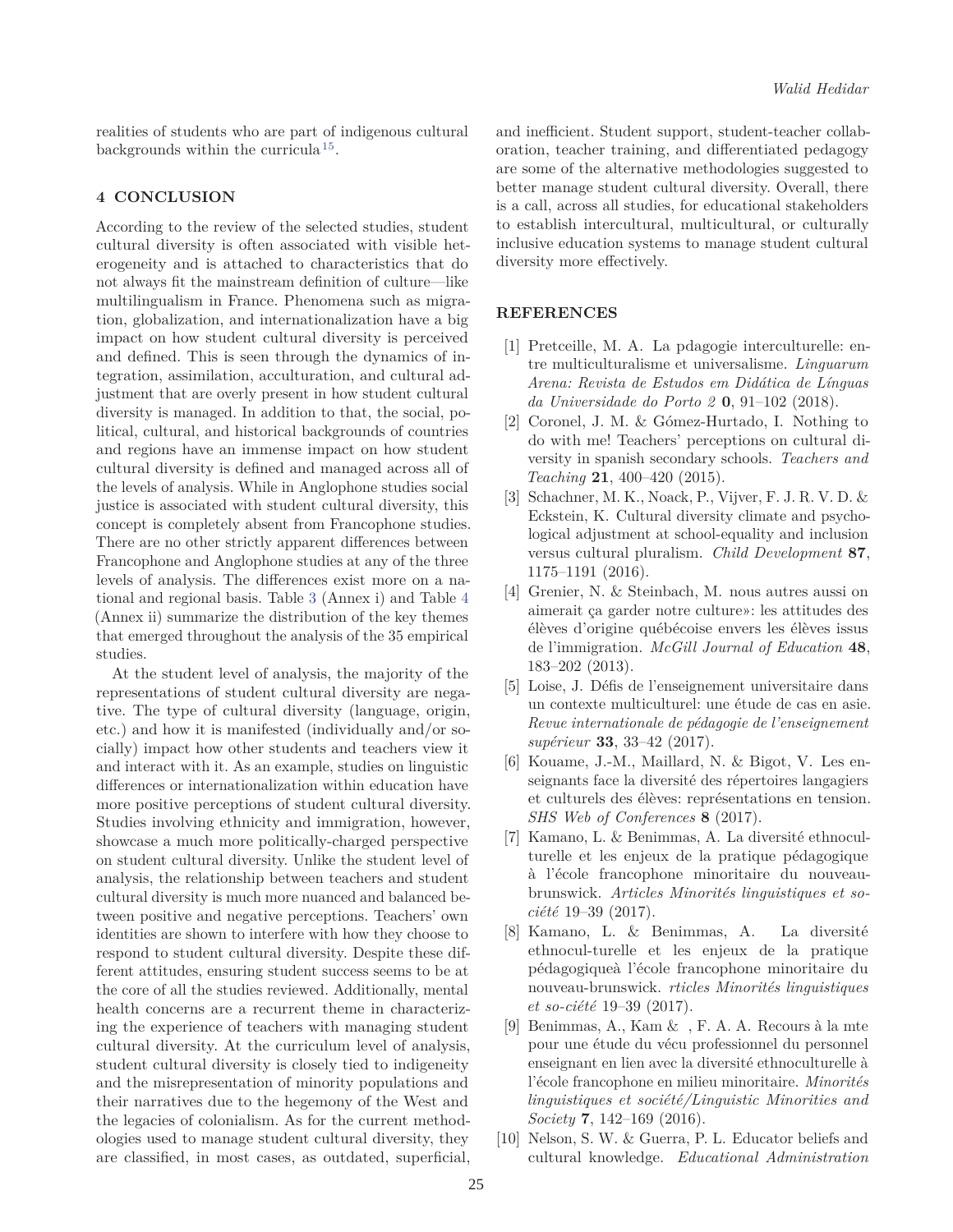realities of students who are part of indigenous cultural backgrounds within the curricula<sup>15</sup>.

# **4 CONCLUSION**

According to the review of the selected studies, student cultural diversity is often associated with visible heterogeneity and is attached to characteristics that do not always fit the mainstream definition of culture—like multilingualism in France. Phenomena such as migration, globalization, and internationalization have a big impact on how student cultural diversity is perceived and defined. This is seen through the dynamics of integration, assimilation, acculturation, and cultural adjustment that are overly present in how student cultural diversity is managed. In addition to that, the social, political, cultural, and historical backgrounds of countries and regions have an immense impact on how student cultural diversity is defined and managed across all of the levels of analysis. While in Anglophone studies social justice is associated with student cultural diversity, this concept is completely absent from Francophone studies. There are no other strictly apparent differences between Francophone and Anglophone studies at any of the three levels of analysis. The differences exist more on a national and regional basis. Table 3 (Annex i) and Table 4 (Annex ii) summarize the distribution of the key themes that emerged throughout the analysis of the 35 empirical studies.

At the student level of analysis, the majority of the representations of student cultural diversity are negative. The type of cultural diversity (language, origin, etc.) and how it is manifested (individually and/or socially) impact how other students and teachers view it and interact with it. As an example, studies on linguistic differences or internationalization within education have more positive perceptions of student cultural diversity. Studies involving ethnicity and immigration, however, showcase a much more politically-charged perspective on student cultural diversity. Unlike the student level of analysis, the relationship between teachers and student cultural diversity is much more nuanced and balanced between positive and negative perceptions. Teachers' own identities are shown to interfere with how they choose to respond to student cultural diversity. Despite these different attitudes, ensuring student success seems to be at the core of all the studies reviewed. Additionally, mental health concerns are a recurrent theme in characterizing the experience of teachers with managing student cultural diversity. At the curriculum level of analysis, student cultural diversity is closely tied to indigeneity and the misrepresentation of minority populations and their narratives due to the hegemony of the West and the legacies of colonialism. As for the current methodologies used to manage student cultural diversity, they are classified, in most cases, as outdated, superficial, and inefficient. Student support, student-teacher collaboration, teacher training, and differentiated pedagogy are some of the alternative methodologies suggested to better manage student cultural diversity. Overall, there is a call, across all studies, for educational stakeholders to establish intercultural, multicultural, or culturally inclusive education systems to manage student cultural diversity more effectively.

#### **REFERENCES**

- [1] Pretceille, M. A. La pdagogie interculturelle: entre multiculturalisme et universalisme. *Linguarum Arena: Revista de Estudos em Didática de Línguas da Universidade do Porto 2* **0**, 91–102 (2018).
- [2] Coronel, J. M. & Gómez-Hurtado, I. Nothing to do with me! Teachers' perceptions on cultural diversity in spanish secondary schools. *Teachers and Teaching* **21**, 400–420 (2015).
- [3] Schachner, M. K., Noack, P., Vijver, F. J. R. V. D. & Eckstein, K. Cultural diversity climate and psychological adjustment at school-equality and inclusion versus cultural pluralism. *Child Development* **87**, 1175–1191 (2016).
- [4] Grenier, N. & Steinbach, M. nous autres aussi on aimerait ça garder notre culture»: les attitudes des élèves d'origine québécoise envers les élèves issus de l'immigration. *McGill Journal of Education* **48**, 183–202 (2013).
- [5] Loise, J. Défis de l'enseignement universitaire dans un contexte multiculturel: une étude de cas en asie. *Revue internationale de pédagogie de l'enseignement supérieur* **33**, 33–42 (2017).
- [6] Kouame, J.-M., Maillard, N. & Bigot, V. Les enseignants face la diversité des répertoires langagiers et culturels des élèves: représentations en tension. *SHS Web of Conferences* **8** (2017).
- [7] Kamano, L. & Benimmas, A. La diversité ethnoculturelle et les enjeux de la pratique pédagogique à l'école francophone minoritaire du nouveaubrunswick. *Articles Minorités linguistiques et société* 19–39 (2017).
- [8] Kamano, L. & Benimmas, A. La diversité ethnocul-turelle et les enjeux de la pratique pédagogiqueà l'école francophone minoritaire du nouveau-brunswick. *rticles Minorités linguistiques et so-ciété* 19–39 (2017).
- [9] Benimmas, A., Kam & , F. A. A. Recours à la mte pour une étude du vécu professionnel du personnel enseignant en lien avec la diversité ethnoculturelle à l'école francophone en milieu minoritaire. *Minorités linguistiques et société/Linguistic Minorities and Society* **7**, 142–169 (2016).
- [10] Nelson, S. W. & Guerra, P. L. Educator beliefs and cultural knowledge. *Educational Administration*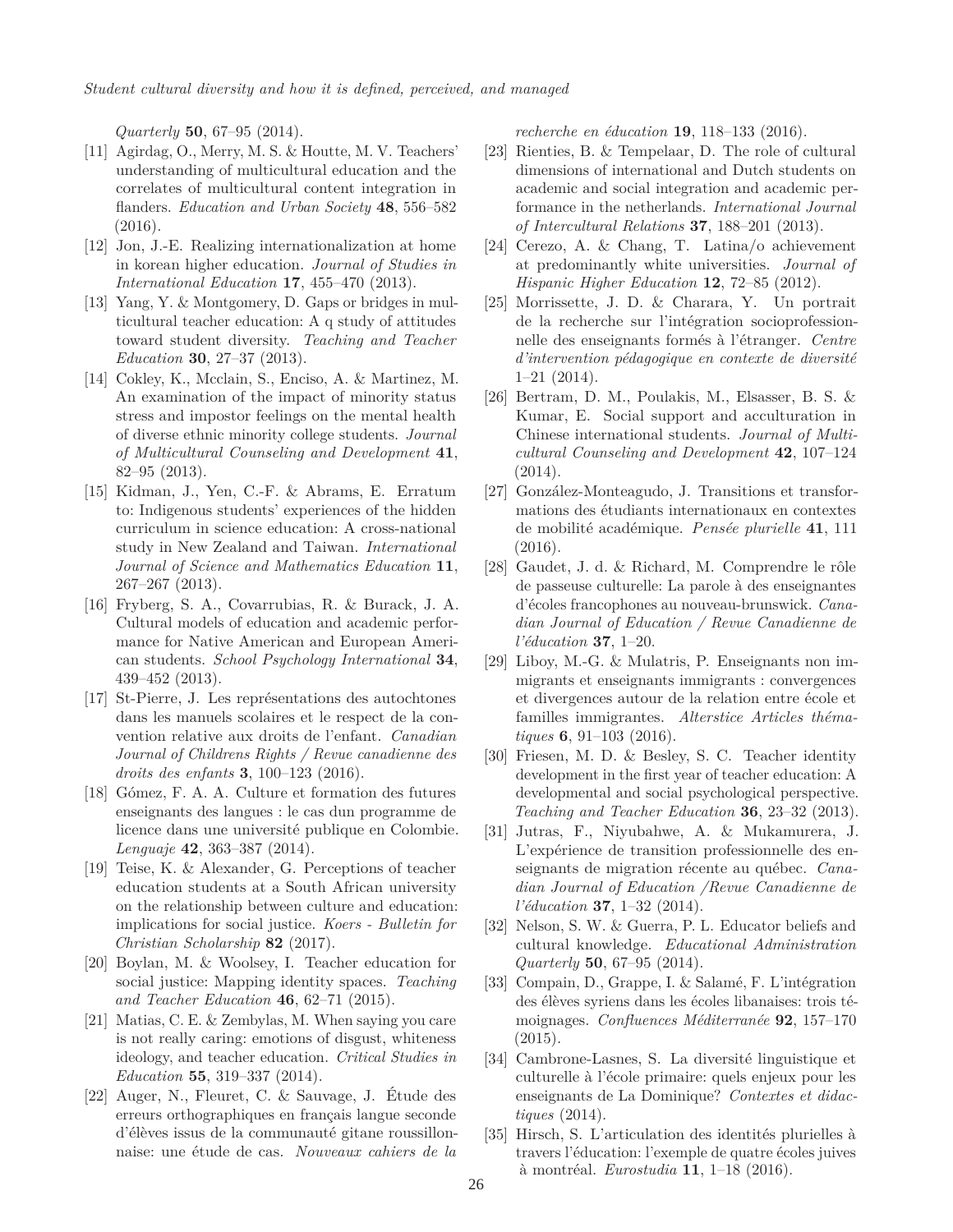*Quarterly* **50**, 67–95 (2014).

- [11] Agirdag, O., Merry, M. S. & Houtte, M. V. Teachers' understanding of multicultural education and the correlates of multicultural content integration in flanders. *Education and Urban Society* **48**, 556–582 (2016).
- [12] Jon, J.-E. Realizing internationalization at home in korean higher education. *Journal of Studies in International Education* **17**, 455–470 (2013).
- [13] Yang, Y. & Montgomery, D. Gaps or bridges in multicultural teacher education: A q study of attitudes toward student diversity. *Teaching and Teacher Education* **30**, 27–37 (2013).
- [14] Cokley, K., Mcclain, S., Enciso, A. & Martinez, M. An examination of the impact of minority status stress and impostor feelings on the mental health of diverse ethnic minority college students. *Journal of Multicultural Counseling and Development* **41**, 82–95 (2013).
- [15] Kidman, J., Yen, C.-F. & Abrams, E. Erratum to: Indigenous students' experiences of the hidden curriculum in science education: A cross-national study in New Zealand and Taiwan. *International Journal of Science and Mathematics Education* **11**, 267–267 (2013).
- [16] Fryberg, S. A., Covarrubias, R. & Burack, J. A. Cultural models of education and academic performance for Native American and European American students. *School Psychology International* **34**, 439–452 (2013).
- [17] St-Pierre, J. Les représentations des autochtones dans les manuels scolaires et le respect de la convention relative aux droits de l'enfant. *Canadian Journal of Childrens Rights / Revue canadienne des droits des enfants* **3**, 100–123 (2016).
- [18] Gómez, F. A. A. Culture et formation des futures enseignants des langues : le cas dun programme de licence dans une université publique en Colombie. *Lenguaje* **42**, 363–387 (2014).
- [19] Teise, K. & Alexander, G. Perceptions of teacher education students at a South African university on the relationship between culture and education: implications for social justice. *Koers - Bulletin for Christian Scholarship* **82** (2017).
- [20] Boylan, M. & Woolsey, I. Teacher education for social justice: Mapping identity spaces. *Teaching and Teacher Education* **46**, 62–71 (2015).
- [21] Matias, C. E. & Zembylas, M. When saying you care is not really caring: emotions of disgust, whiteness ideology, and teacher education. *Critical Studies in Education* **55**, 319–337 (2014).
- [22] Auger, N., Fleuret, C. & Sauvage, J. Étude des erreurs orthographiques en français langue seconde d'élèves issus de la communauté gitane roussillonnaise: une étude de cas. *Nouveaux cahiers de la*

*recherche en éducation* **19**, 118–133 (2016).

- [23] Rienties, B. & Tempelaar, D. The role of cultural dimensions of international and Dutch students on academic and social integration and academic performance in the netherlands. *International Journal of Intercultural Relations* **37**, 188–201 (2013).
- [24] Cerezo, A. & Chang, T. Latina/o achievement at predominantly white universities. *Journal of Hispanic Higher Education* **12**, 72–85 (2012).
- [25] Morrissette, J. D. & Charara, Y. Un portrait de la recherche sur l'intégration socioprofessionnelle des enseignants formés à l'étranger. *Centre d'intervention pédagogique en contexte de diversité* 1–21 (2014).
- [26] Bertram, D. M., Poulakis, M., Elsasser, B. S. & Kumar, E. Social support and acculturation in Chinese international students. *Journal of Multicultural Counseling and Development* **42**, 107–124 (2014).
- [27] González-Monteagudo, J. Transitions et transformations des étudiants internationaux en contextes de mobilité académique. *Pensée plurielle* **41**, 111 (2016).
- [28] Gaudet, J. d. & Richard, M. Comprendre le rôle de passeuse culturelle: La parole à des enseignantes d'écoles francophones au nouveau-brunswick. *Canadian Journal of Education / Revue Canadienne de l'éducation* **37**, 1–20.
- [29] Liboy, M.-G. & Mulatris, P. Enseignants non immigrants et enseignants immigrants : convergences et divergences autour de la relation entre école et familles immigrantes. *Alterstice Articles thématiques* **6**, 91–103 (2016).
- [30] Friesen, M. D. & Besley, S. C. Teacher identity development in the first year of teacher education: A developmental and social psychological perspective. *Teaching and Teacher Education* **36**, 23–32 (2013).
- [31] Jutras, F., Niyubahwe, A. & Mukamurera, J. L'expérience de transition professionnelle des enseignants de migration récente au québec. *Canadian Journal of Education /Revue Canadienne de l'éducation* **37**, 1–32 (2014).
- [32] Nelson, S. W. & Guerra, P. L. Educator beliefs and cultural knowledge. *Educational Administration Quarterly* **50**, 67–95 (2014).
- [33] Compain, D., Grappe, I. & Salamé, F. L'intégration des élèves syriens dans les écoles libanaises: trois témoignages. *Confluences Méditerranée* **92**, 157–170 (2015).
- [34] Cambrone-Lasnes, S. La diversité linguistique et culturelle à l'école primaire: quels enjeux pour les enseignants de La Dominique? *Contextes et didactiques* (2014).
- [35] Hirsch, S. L'articulation des identités plurielles à travers l'éducation: l'exemple de quatre écoles juives à montréal. *Eurostudia* **11**, 1–18 (2016).